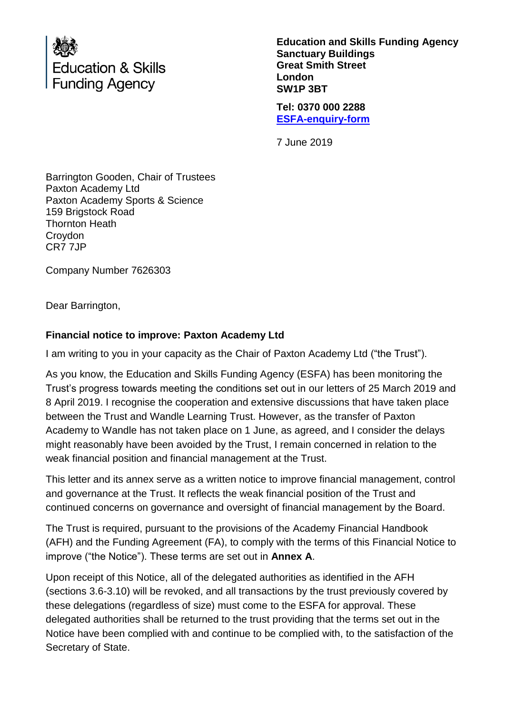

**Education and Skills Funding Agency Sanctuary Buildings Great Smith Street London SW1P 3BT**

**Tel: 0370 000 2288 [ESFA-enquiry-form](http://www.education.gov.uk/efa-enquiry-form)**

7 June 2019

Barrington Gooden, Chair of Trustees Paxton Academy Ltd Paxton Academy Sports & Science 159 Brigstock Road Thornton Heath Croydon CR7 7JP

Company Number 7626303

Dear Barrington,

## **Financial notice to improve: Paxton Academy Ltd**

I am writing to you in your capacity as the Chair of Paxton Academy Ltd ("the Trust").

As you know, the Education and Skills Funding Agency (ESFA) has been monitoring the Trust's progress towards meeting the conditions set out in our letters of 25 March 2019 and 8 April 2019. I recognise the cooperation and extensive discussions that have taken place between the Trust and Wandle Learning Trust. However, as the transfer of Paxton Academy to Wandle has not taken place on 1 June, as agreed, and I consider the delays might reasonably have been avoided by the Trust, I remain concerned in relation to the weak financial position and financial management at the Trust.

This letter and its annex serve as a written notice to improve financial management, control and governance at the Trust. It reflects the weak financial position of the Trust and continued concerns on governance and oversight of financial management by the Board.

The Trust is required, pursuant to the provisions of the Academy Financial Handbook (AFH) and the Funding Agreement (FA), to comply with the terms of this Financial Notice to improve ("the Notice"). These terms are set out in **Annex A**.

Upon receipt of this Notice, all of the delegated authorities as identified in the AFH (sections 3.6-3.10) will be revoked, and all transactions by the trust previously covered by these delegations (regardless of size) must come to the ESFA for approval. These delegated authorities shall be returned to the trust providing that the terms set out in the Notice have been complied with and continue to be complied with, to the satisfaction of the Secretary of State.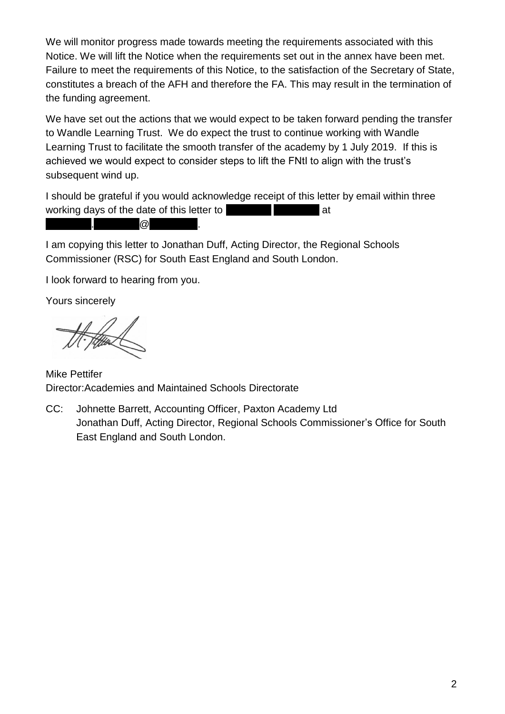We will monitor progress made towards meeting the requirements associated with this Notice. We will lift the Notice when the requirements set out in the annex have been met. Failure to meet the requirements of this Notice, to the satisfaction of the Secretary of State, constitutes a breach of the AFH and therefore the FA. This may result in the termination of the funding agreement.

We have set out the actions that we would expect to be taken forward pending the transfer to Wandle Learning Trust. We do expect the trust to continue working with Wandle Learning Trust to facilitate the smooth transfer of the academy by 1 July 2019. If this is achieved we would expect to consider steps to lift the FNtI to align with the trust's subsequent wind up.

I should be grateful if you would acknowledge receipt of this letter by email within three working days of the date of this letter to [redacted] [redacted] at  $\overline{c}$ .  $\overline{c}$ 

I am copying this letter to Jonathan Duff, Acting Director, the Regional Schools Commissioner (RSC) for South East England and South London.

I look forward to hearing from you.

Yours sincerely

Mike Pettifer Director:Academies and Maintained Schools Directorate

CC: Johnette Barrett, Accounting Officer, Paxton Academy Ltd Jonathan Duff, Acting Director, Regional Schools Commissioner's Office for South East England and South London.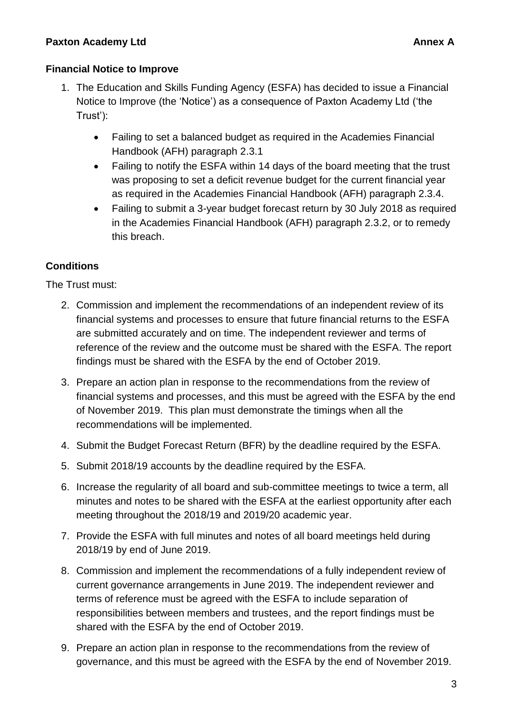### **Paxton Academy Ltd Annex A Annex A**

#### **Financial Notice to Improve**

- 1. The Education and Skills Funding Agency (ESFA) has decided to issue a Financial Notice to Improve (the 'Notice') as a consequence of Paxton Academy Ltd ('the Trust'):
	- Failing to set a balanced budget as required in the Academies Financial Handbook (AFH) paragraph 2.3.1
	- Failing to notify the ESFA within 14 days of the board meeting that the trust was proposing to set a deficit revenue budget for the current financial year as required in the Academies Financial Handbook (AFH) paragraph 2.3.4.
	- Failing to submit a 3-year budget forecast return by 30 July 2018 as required in the Academies Financial Handbook (AFH) paragraph 2.3.2, or to remedy this breach.

## **Conditions**

The Trust must:

- 2. Commission and implement the recommendations of an independent review of its financial systems and processes to ensure that future financial returns to the ESFA are submitted accurately and on time. The independent reviewer and terms of reference of the review and the outcome must be shared with the ESFA. The report findings must be shared with the ESFA by the end of October 2019.
- 3. Prepare an action plan in response to the recommendations from the review of financial systems and processes, and this must be agreed with the ESFA by the end of November 2019. This plan must demonstrate the timings when all the recommendations will be implemented.
- 4. Submit the Budget Forecast Return (BFR) by the deadline required by the ESFA.
- 5. Submit 2018/19 accounts by the deadline required by the ESFA.
- 6. Increase the regularity of all board and sub-committee meetings to twice a term, all minutes and notes to be shared with the ESFA at the earliest opportunity after each meeting throughout the 2018/19 and 2019/20 academic year.
- 7. Provide the ESFA with full minutes and notes of all board meetings held during 2018/19 by end of June 2019.
- 8. Commission and implement the recommendations of a fully independent review of current governance arrangements in June 2019. The independent reviewer and terms of reference must be agreed with the ESFA to include separation of responsibilities between members and trustees, and the report findings must be shared with the ESFA by the end of October 2019.
- 9. Prepare an action plan in response to the recommendations from the review of governance, and this must be agreed with the ESFA by the end of November 2019.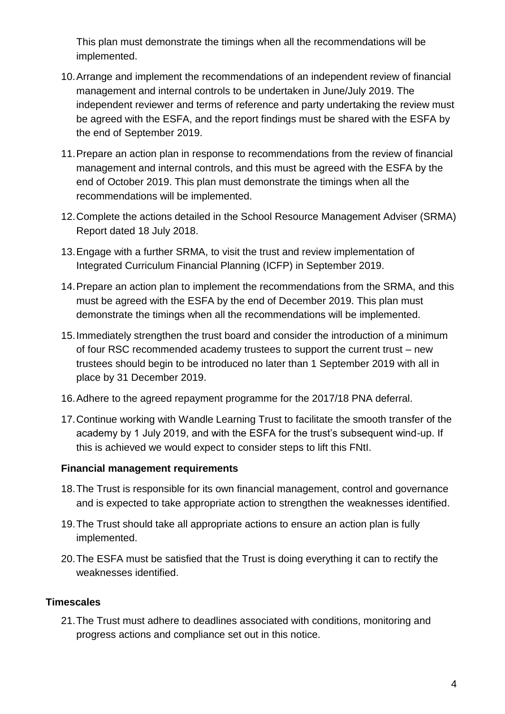This plan must demonstrate the timings when all the recommendations will be implemented.

- 10.Arrange and implement the recommendations of an independent review of financial management and internal controls to be undertaken in June/July 2019. The independent reviewer and terms of reference and party undertaking the review must be agreed with the ESFA, and the report findings must be shared with the ESFA by the end of September 2019.
- 11.Prepare an action plan in response to recommendations from the review of financial management and internal controls, and this must be agreed with the ESFA by the end of October 2019. This plan must demonstrate the timings when all the recommendations will be implemented.
- 12.Complete the actions detailed in the School Resource Management Adviser (SRMA) Report dated 18 July 2018.
- 13.Engage with a further SRMA, to visit the trust and review implementation of Integrated Curriculum Financial Planning (ICFP) in September 2019.
- 14.Prepare an action plan to implement the recommendations from the SRMA, and this must be agreed with the ESFA by the end of December 2019. This plan must demonstrate the timings when all the recommendations will be implemented.
- 15.Immediately strengthen the trust board and consider the introduction of a minimum of four RSC recommended academy trustees to support the current trust – new trustees should begin to be introduced no later than 1 September 2019 with all in place by 31 December 2019.
- 16.Adhere to the agreed repayment programme for the 2017/18 PNA deferral.
- 17.Continue working with Wandle Learning Trust to facilitate the smooth transfer of the academy by 1 July 2019, and with the ESFA for the trust's subsequent wind-up. If this is achieved we would expect to consider steps to lift this FNtI.

### **Financial management requirements**

- 18.The Trust is responsible for its own financial management, control and governance and is expected to take appropriate action to strengthen the weaknesses identified.
- 19.The Trust should take all appropriate actions to ensure an action plan is fully implemented.
- 20.The ESFA must be satisfied that the Trust is doing everything it can to rectify the weaknesses identified.

### **Timescales**

21.The Trust must adhere to deadlines associated with conditions, monitoring and progress actions and compliance set out in this notice.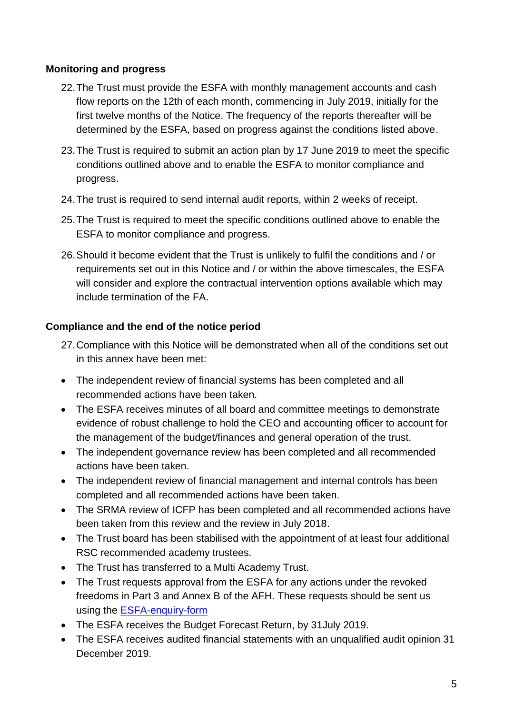# **Monitoring and progress**

- 22.The Trust must provide the ESFA with monthly management accounts and cash flow reports on the 12th of each month, commencing in July 2019, initially for the first twelve months of the Notice. The frequency of the reports thereafter will be determined by the ESFA, based on progress against the conditions listed above.
- 23.The Trust is required to submit an action plan by 17 June 2019 to meet the specific conditions outlined above and to enable the ESFA to monitor compliance and progress.
- 24.The trust is required to send internal audit reports, within 2 weeks of receipt.
- 25.The Trust is required to meet the specific conditions outlined above to enable the ESFA to monitor compliance and progress.
- 26.Should it become evident that the Trust is unlikely to fulfil the conditions and / or requirements set out in this Notice and / or within the above timescales, the ESFA will consider and explore the contractual intervention options available which may include termination of the FA.

## **Compliance and the end of the notice period**

- 27.Compliance with this Notice will be demonstrated when all of the conditions set out in this annex have been met:
- The independent review of financial systems has been completed and all recommended actions have been taken.
- The ESFA receives minutes of all board and committee meetings to demonstrate evidence of robust challenge to hold the CEO and accounting officer to account for the management of the budget/finances and general operation of the trust.
- The independent governance review has been completed and all recommended actions have been taken.
- The independent review of financial management and internal controls has been completed and all recommended actions have been taken.
- The SRMA review of ICFP has been completed and all recommended actions have been taken from this review and the review in July 2018.
- The Trust board has been stabilised with the appointment of at least four additional RSC recommended academy trustees.
- The Trust has transferred to a Multi Academy Trust.
- The Trust requests approval from the ESFA for any actions under the revoked freedoms in Part 3 and Annex B of the AFH. These requests should be sent us using the [ESFA-enquiry-form](https://form.education.gov.uk/fillform.php?self=1&form_id=HR41uA2F8Dh&type=form&ShowMsg=1&form_name=Knowledge+centre+enquiry+form&noRegister=false&ret=%2Fmodule%2Fservices&noLoginPrompt=1)
- The ESFA receives the Budget Forecast Return, by 31 July 2019.
- The ESFA receives audited financial statements with an unqualified audit opinion 31 December 2019.